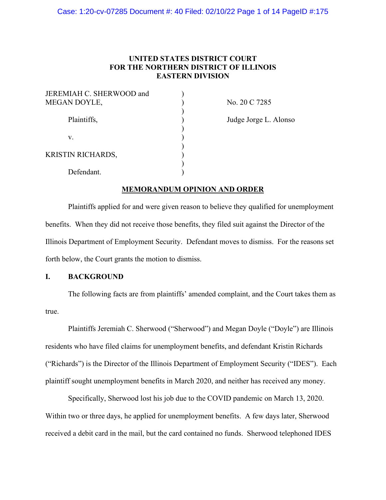## **UNITED STATES DISTRICT COURT FOR THE NORTHERN DISTRICT OF ILLINOIS EASTERN DIVISION**

| JEREMIAH C. SHERWOOD and<br>MEGAN DOYLE, |  |
|------------------------------------------|--|
| Plaintiffs,                              |  |
| V.                                       |  |
| <b>KRISTIN RICHARDS,</b>                 |  |
| Defendant.                               |  |

No. 20 C 7285

Judge Jorge L. Alonso

## **MEMORANDUM OPINION AND ORDER**

Plaintiffs applied for and were given reason to believe they qualified for unemployment benefits. When they did not receive those benefits, they filed suit against the Director of the Illinois Department of Employment Security. Defendant moves to dismiss. For the reasons set forth below, the Court grants the motion to dismiss.

## **I. BACKGROUND**

The following facts are from plaintiffs' amended complaint, and the Court takes them as true.

Plaintiffs Jeremiah C. Sherwood ("Sherwood") and Megan Doyle ("Doyle") are Illinois residents who have filed claims for unemployment benefits, and defendant Kristin Richards ("Richards") is the Director of the Illinois Department of Employment Security ("IDES"). Each plaintiff sought unemployment benefits in March 2020, and neither has received any money.

Specifically, Sherwood lost his job due to the COVID pandemic on March 13, 2020. Within two or three days, he applied for unemployment benefits. A few days later, Sherwood received a debit card in the mail, but the card contained no funds. Sherwood telephoned IDES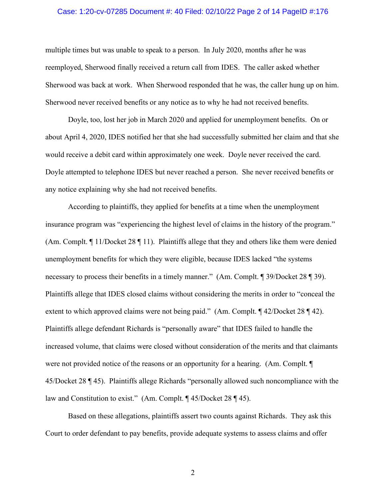#### Case: 1:20-cv-07285 Document #: 40 Filed: 02/10/22 Page 2 of 14 PageID #:176

multiple times but was unable to speak to a person. In July 2020, months after he was reemployed, Sherwood finally received a return call from IDES. The caller asked whether Sherwood was back at work. When Sherwood responded that he was, the caller hung up on him. Sherwood never received benefits or any notice as to why he had not received benefits.

Doyle, too, lost her job in March 2020 and applied for unemployment benefits. On or about April 4, 2020, IDES notified her that she had successfully submitted her claim and that she would receive a debit card within approximately one week. Doyle never received the card. Doyle attempted to telephone IDES but never reached a person. She never received benefits or any notice explaining why she had not received benefits.

According to plaintiffs, they applied for benefits at a time when the unemployment insurance program was "experiencing the highest level of claims in the history of the program." (Am. Complt.  $\P$  11/Docket 28  $\P$  11). Plaintiffs allege that they and others like them were denied unemployment benefits for which they were eligible, because IDES lacked "the systems necessary to process their benefits in a timely manner." (Am. Complt. ¶ 39/Docket 28 ¶ 39). Plaintiffs allege that IDES closed claims without considering the merits in order to "conceal the extent to which approved claims were not being paid." (Am. Complt. ¶ 42/Docket 28 ¶ 42). Plaintiffs allege defendant Richards is "personally aware" that IDES failed to handle the increased volume, that claims were closed without consideration of the merits and that claimants were not provided notice of the reasons or an opportunity for a hearing. (Am. Complt. ¶ 45/Docket 28 ¶ 45). Plaintiffs allege Richards "personally allowed such noncompliance with the law and Constitution to exist." (Am. Complt. ¶ 45/Docket 28 ¶ 45).

Based on these allegations, plaintiffs assert two counts against Richards. They ask this Court to order defendant to pay benefits, provide adequate systems to assess claims and offer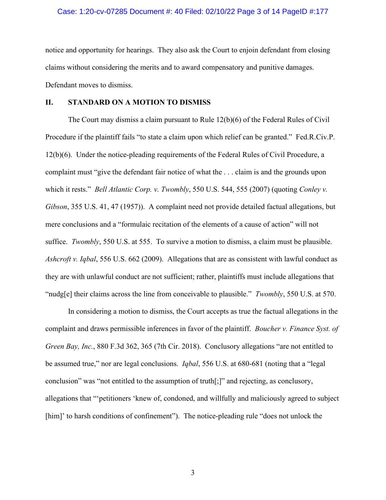#### Case: 1:20-cv-07285 Document #: 40 Filed: 02/10/22 Page 3 of 14 PageID #:177

notice and opportunity for hearings. They also ask the Court to enjoin defendant from closing claims without considering the merits and to award compensatory and punitive damages. Defendant moves to dismiss.

#### **II. STANDARD ON A MOTION TO DISMISS**

The Court may dismiss a claim pursuant to Rule 12(b)(6) of the Federal Rules of Civil Procedure if the plaintiff fails "to state a claim upon which relief can be granted." Fed.R.Civ.P. 12(b)(6). Under the notice-pleading requirements of the Federal Rules of Civil Procedure, a complaint must "give the defendant fair notice of what the . . . claim is and the grounds upon which it rests." *Bell Atlantic Corp. v. Twombly*, 550 U.S. 544, 555 (2007) (quoting *Conley v. Gibson*, 355 U.S. 41, 47 (1957)). A complaint need not provide detailed factual allegations, but mere conclusions and a "formulaic recitation of the elements of a cause of action" will not suffice. *Twombly*, 550 U.S. at 555. To survive a motion to dismiss, a claim must be plausible. *Ashcroft v. Iqbal*, 556 U.S. 662 (2009). Allegations that are as consistent with lawful conduct as they are with unlawful conduct are not sufficient; rather, plaintiffs must include allegations that "nudg[e] their claims across the line from conceivable to plausible." *Twombly*, 550 U.S. at 570.

In considering a motion to dismiss, the Court accepts as true the factual allegations in the complaint and draws permissible inferences in favor of the plaintiff. *Boucher v. Finance Syst. of Green Bay, Inc.*, 880 F.3d 362, 365 (7th Cir. 2018). Conclusory allegations "are not entitled to be assumed true," nor are legal conclusions. *Iqbal*, 556 U.S. at 680-681 (noting that a "legal conclusion" was "not entitled to the assumption of truth[;]" and rejecting, as conclusory, allegations that "'petitioners 'knew of, condoned, and willfully and maliciously agreed to subject [him]' to harsh conditions of confinement"). The notice-pleading rule "does not unlock the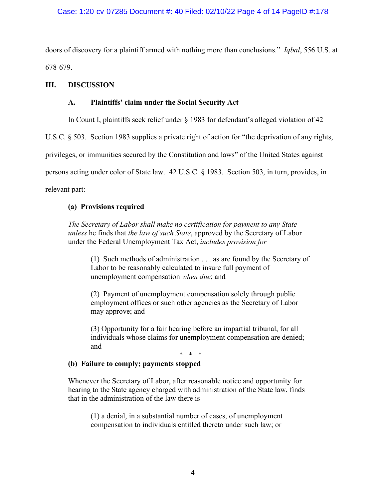## Case: 1:20-cv-07285 Document #: 40 Filed: 02/10/22 Page 4 of 14 PageID #:178

doors of discovery for a plaintiff armed with nothing more than conclusions." *Iqbal*, 556 U.S. at 678-679.

## **III. DISCUSSION**

## **A. Plaintiffs' claim under the Social Security Act**

In Count I, plaintiffs seek relief under § 1983 for defendant's alleged violation of 42

U.S.C. § 503. Section 1983 supplies a private right of action for "the deprivation of any rights,

privileges, or immunities secured by the Constitution and laws" of the United States against

persons acting under color of State law. 42 U.S.C. § 1983. Section 503, in turn, provides, in

relevant part:

## **(a) Provisions required**

*The Secretary of Labor shall make no certification for payment to any State unless* he finds that *the law of such State*, approved by the Secretary of Labor under the Federal Unemployment Tax Act, *includes provision for*—

(1) Such methods of administration . . . as are found by the Secretary of Labor to be reasonably calculated to insure full payment of unemployment compensation *when due*; and

(2) Payment of unemployment compensation solely through public employment offices or such other agencies as the Secretary of Labor may approve; and

(3) Opportunity for a fair hearing before an impartial tribunal, for all individuals whose claims for unemployment compensation are denied; and

# \* \* \*

### **(b) Failure to comply; payments stopped**

Whenever the Secretary of Labor, after reasonable notice and opportunity for hearing to the State agency charged with administration of the State law, finds that in the administration of the law there is—

(1) a denial, in a substantial number of cases, of unemployment compensation to individuals entitled thereto under such law; or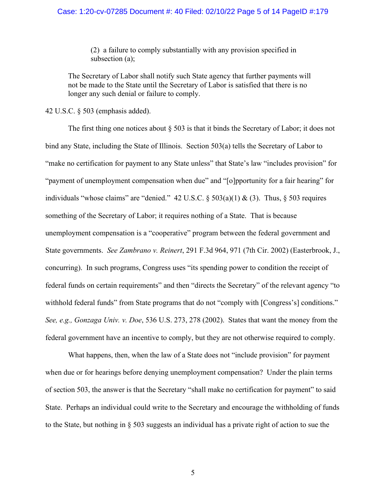#### Case: 1:20-cv-07285 Document #: 40 Filed: 02/10/22 Page 5 of 14 PageID #:179

(2) a failure to comply substantially with any provision specified in subsection (a);

The Secretary of Labor shall notify such State agency that further payments will not be made to the State until the Secretary of Labor is satisfied that there is no longer any such denial or failure to comply.

42 U.S.C. § 503 (emphasis added).

The first thing one notices about § 503 is that it binds the Secretary of Labor; it does not bind any State, including the State of Illinois. Section 503(a) tells the Secretary of Labor to "make no certification for payment to any State unless" that State's law "includes provision" for "payment of unemployment compensation when due" and "[o]pportunity for a fair hearing" for individuals "whose claims" are "denied." 42 U.S.C.  $\S$  503(a)(1) & (3). Thus,  $\S$  503 requires something of the Secretary of Labor; it requires nothing of a State. That is because unemployment compensation is a "cooperative" program between the federal government and State governments. *See Zambrano v. Reinert*, 291 F.3d 964, 971 (7th Cir. 2002) (Easterbrook, J., concurring). In such programs, Congress uses "its spending power to condition the receipt of federal funds on certain requirements" and then "directs the Secretary" of the relevant agency "to withhold federal funds" from State programs that do not "comply with [Congress's] conditions." *See, e.g., Gonzaga Univ. v. Doe*, 536 U.S. 273, 278 (2002). States that want the money from the federal government have an incentive to comply, but they are not otherwise required to comply.

What happens, then, when the law of a State does not "include provision" for payment when due or for hearings before denying unemployment compensation? Under the plain terms of section 503, the answer is that the Secretary "shall make no certification for payment" to said State. Perhaps an individual could write to the Secretary and encourage the withholding of funds to the State, but nothing in § 503 suggests an individual has a private right of action to sue the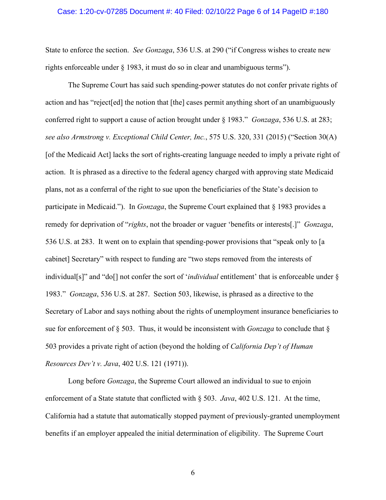#### Case: 1:20-cv-07285 Document #: 40 Filed: 02/10/22 Page 6 of 14 PageID #:180

State to enforce the section. *See Gonzaga*, 536 U.S. at 290 ("if Congress wishes to create new rights enforceable under § 1983, it must do so in clear and unambiguous terms").

The Supreme Court has said such spending-power statutes do not confer private rights of action and has "reject[ed] the notion that [the] cases permit anything short of an unambiguously conferred right to support a cause of action brought under § 1983." *Gonzaga*, 536 U.S. at 283; *see also Armstrong v. Exceptional Child Center, Inc.*, 575 U.S. 320, 331 (2015) ("Section 30(A) [of the Medicaid Act] lacks the sort of rights-creating language needed to imply a private right of action. It is phrased as a directive to the federal agency charged with approving state Medicaid plans, not as a conferral of the right to sue upon the beneficiaries of the State's decision to participate in Medicaid."). In *Gonzaga*, the Supreme Court explained that § 1983 provides a remedy for deprivation of "*rights*, not the broader or vaguer 'benefits or interests[.]" *Gonzaga*, 536 U.S. at 283. It went on to explain that spending-power provisions that "speak only to [a cabinet] Secretary" with respect to funding are "two steps removed from the interests of individual[s]" and "do[] not confer the sort of '*individual* entitlement' that is enforceable under § 1983." *Gonzaga*, 536 U.S. at 287. Section 503, likewise, is phrased as a directive to the Secretary of Labor and says nothing about the rights of unemployment insurance beneficiaries to sue for enforcement of § 503. Thus, it would be inconsistent with *Gonzaga* to conclude that § 503 provides a private right of action (beyond the holding of *California Dep't of Human Resources Dev't v. Java*, 402 U.S. 121 (1971)).

Long before *Gonzaga*, the Supreme Court allowed an individual to sue to enjoin enforcement of a State statute that conflicted with § 503. *Java*, 402 U.S. 121. At the time, California had a statute that automatically stopped payment of previously-granted unemployment benefits if an employer appealed the initial determination of eligibility. The Supreme Court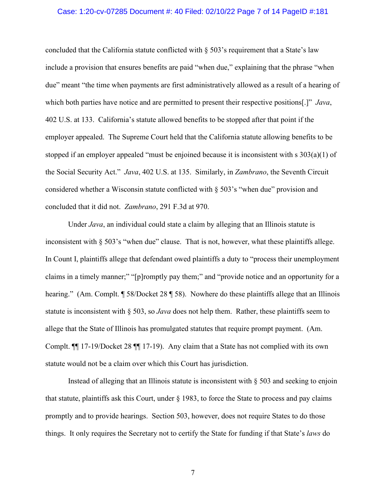#### Case: 1:20-cv-07285 Document #: 40 Filed: 02/10/22 Page 7 of 14 PageID #:181

concluded that the California statute conflicted with § 503's requirement that a State's law include a provision that ensures benefits are paid "when due," explaining that the phrase "when due" meant "the time when payments are first administratively allowed as a result of a hearing of which both parties have notice and are permitted to present their respective positions[.]" *Java*, 402 U.S. at 133. California's statute allowed benefits to be stopped after that point if the employer appealed. The Supreme Court held that the California statute allowing benefits to be stopped if an employer appealed "must be enjoined because it is inconsistent with s 303(a)(1) of the Social Security Act." *Java*, 402 U.S. at 135. Similarly, in *Zambrano*, the Seventh Circuit considered whether a Wisconsin statute conflicted with § 503's "when due" provision and concluded that it did not. *Zambrano*, 291 F.3d at 970.

Under *Java*, an individual could state a claim by alleging that an Illinois statute is inconsistent with  $\S 503$ 's "when due" clause. That is not, however, what these plaintiffs allege. In Count I, plaintiffs allege that defendant owed plaintiffs a duty to "process their unemployment claims in a timely manner;" "[p]romptly pay them;" and "provide notice and an opportunity for a hearing." (Am. Complt. ¶ 58/Docket 28 ¶ 58). Nowhere do these plaintiffs allege that an Illinois statute is inconsistent with § 503, so *Java* does not help them. Rather, these plaintiffs seem to allege that the State of Illinois has promulgated statutes that require prompt payment. (Am. Complt. ¶¶ 17-19/Docket 28 ¶¶ 17-19). Any claim that a State has not complied with its own statute would not be a claim over which this Court has jurisdiction.

Instead of alleging that an Illinois statute is inconsistent with § 503 and seeking to enjoin that statute, plaintiffs ask this Court, under § 1983, to force the State to process and pay claims promptly and to provide hearings. Section 503, however, does not require States to do those things. It only requires the Secretary not to certify the State for funding if that State's *laws* do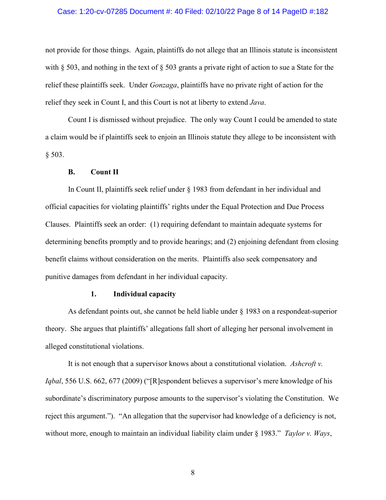#### Case: 1:20-cv-07285 Document #: 40 Filed: 02/10/22 Page 8 of 14 PageID #:182

not provide for those things. Again, plaintiffs do not allege that an Illinois statute is inconsistent with § 503, and nothing in the text of § 503 grants a private right of action to sue a State for the relief these plaintiffs seek. Under *Gonzaga*, plaintiffs have no private right of action for the relief they seek in Count I, and this Court is not at liberty to extend *Java*.

Count I is dismissed without prejudice. The only way Count I could be amended to state a claim would be if plaintiffs seek to enjoin an Illinois statute they allege to be inconsistent with § 503.

### **B. Count II**

In Count II, plaintiffs seek relief under § 1983 from defendant in her individual and official capacities for violating plaintiffs' rights under the Equal Protection and Due Process Clauses. Plaintiffs seek an order: (1) requiring defendant to maintain adequate systems for determining benefits promptly and to provide hearings; and (2) enjoining defendant from closing benefit claims without consideration on the merits. Plaintiffs also seek compensatory and punitive damages from defendant in her individual capacity.

#### **1. Individual capacity**

As defendant points out, she cannot be held liable under § 1983 on a respondeat-superior theory. She argues that plaintiffs' allegations fall short of alleging her personal involvement in alleged constitutional violations.

It is not enough that a supervisor knows about a constitutional violation. *Ashcroft v. Iqbal*, 556 U.S. 662, 677 (2009) ("[R]espondent believes a supervisor's mere knowledge of his subordinate's discriminatory purpose amounts to the supervisor's violating the Constitution. We reject this argument."). "An allegation that the supervisor had knowledge of a deficiency is not, without more, enough to maintain an individual liability claim under § 1983." *Taylor v. Ways*,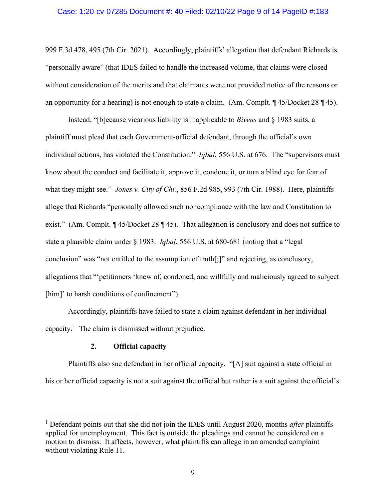#### Case: 1:20-cv-07285 Document #: 40 Filed: 02/10/22 Page 9 of 14 PageID #:183

999 F.3d 478, 495 (7th Cir. 2021). Accordingly, plaintiffs' allegation that defendant Richards is "personally aware" (that IDES failed to handle the increased volume, that claims were closed without consideration of the merits and that claimants were not provided notice of the reasons or an opportunity for a hearing) is not enough to state a claim. (Am. Complt. ¶ 45/Docket 28 ¶ 45).

Instead, "[b]ecause vicarious liability is inapplicable to *Bivens* and § 1983 suits, a plaintiff must plead that each Government-official defendant, through the official's own individual actions, has violated the Constitution." *Iqbal*, 556 U.S. at 676. The "supervisors must know about the conduct and facilitate it, approve it, condone it, or turn a blind eye for fear of what they might see." *Jones v. City of Chi.*, 856 F.2d 985, 993 (7th Cir. 1988). Here, plaintiffs allege that Richards "personally allowed such noncompliance with the law and Constitution to exist." (Am. Complt. ¶ 45/Docket 28 ¶ 45). That allegation is conclusory and does not suffice to state a plausible claim under § 1983. *Iqbal*, 556 U.S. at 680-681 (noting that a "legal conclusion" was "not entitled to the assumption of truth[;]" and rejecting, as conclusory, allegations that "'petitioners 'knew of, condoned, and willfully and maliciously agreed to subject [him]' to harsh conditions of confinement").

Accordingly, plaintiffs have failed to state a claim against defendant in her individual capacity.<sup>[1](#page-8-0)</sup> The claim is dismissed without prejudice.

#### **2. Official capacity**

Plaintiffs also sue defendant in her official capacity. "[A] suit against a state official in his or her official capacity is not a suit against the official but rather is a suit against the official's

<span id="page-8-0"></span><sup>1</sup> Defendant points out that she did not join the IDES until August 2020, months *after* plaintiffs applied for unemployment. This fact is outside the pleadings and cannot be considered on a motion to dismiss. It affects, however, what plaintiffs can allege in an amended complaint without violating Rule 11.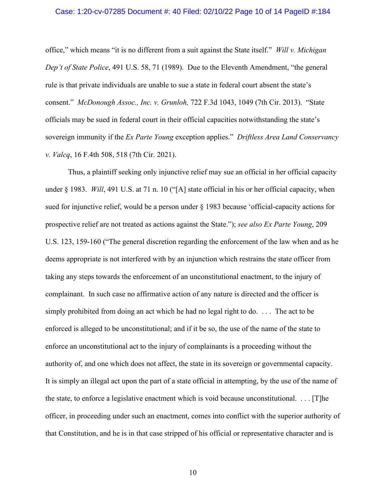#### Case: 1:20-cv-07285 Document #: 40 Filed: 02/10/22 Page 10 of 14 PageID #:184

office," which means "it is no different from a suit against the State itself." *Will v. Michigan Dep't of State Police*, 491 U.S. 58, 71 (1989). Due to the Eleventh Amendment, "the general rule is that private individuals are unable to sue a state in federal court absent the state's consent." *McDonough Assoc., Inc. v. Grunloh,* 722 F.3d 1043, 1049 (7th Cir. 2013). "State officials may be sued in federal court in their official capacities notwithstanding the state's sovereign immunity if the *Ex Parte Young* exception applies." *Driftless Area Land Conservancy v. Valcq*, 16 F.4th 508, 518 (7th Cir. 2021).

Thus, a plaintiff seeking only injunctive relief may sue an official in her official capacity under § 1983. *Will*, 491 U.S. at 71 n. 10 ("[A] state official in his or her official capacity, when sued for injunctive relief, would be a person under § 1983 because 'official-capacity actions for prospective relief are not treated as actions against the State."); *see also Ex Parte Young*, 209 U.S. 123, 159-160 ("The general discretion regarding the enforcement of the law when and as he deems appropriate is not interfered with by an injunction which restrains the state officer from taking any steps towards the enforcement of an unconstitutional enactment, to the injury of complainant. In such case no affirmative action of any nature is directed and the officer is simply prohibited from doing an act which he had no legal right to do. . . . The act to be enforced is alleged to be unconstitutional; and if it be so, the use of the name of the state to enforce an unconstitutional act to the injury of complainants is a proceeding without the authority of, and one which does not affect, the state in its sovereign or governmental capacity. It is simply an illegal act upon the part of a state official in attempting, by the use of the name of the state, to enforce a legislative enactment which is void because unconstitutional. . . . [T]he officer, in proceeding under such an enactment, comes into conflict with the superior authority of that Constitution, and he is in that case stripped of his official or representative character and is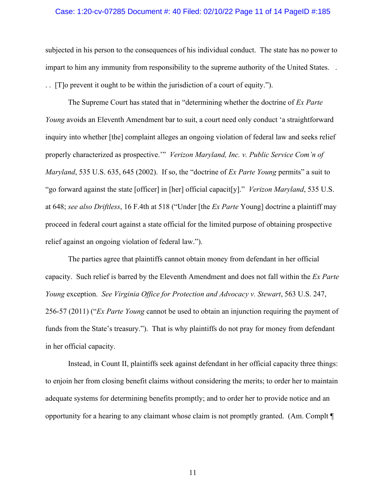#### Case: 1:20-cv-07285 Document #: 40 Filed: 02/10/22 Page 11 of 14 PageID #:185

subjected in his person to the consequences of his individual conduct. The state has no power to impart to him any immunity from responsibility to the supreme authority of the United States. . . . [T]o prevent it ought to be within the jurisdiction of a court of equity.").

The Supreme Court has stated that in "determining whether the doctrine of *Ex Parte Young* avoids an Eleventh Amendment bar to suit, a court need only conduct 'a straightforward inquiry into whether [the] complaint alleges an ongoing violation of federal law and seeks relief properly characterized as prospective.'" *Verizon Maryland, Inc. v. Public Service Com'n of Maryland*, 535 U.S. 635, 645 (2002). If so, the "doctrine of *Ex Parte Young* permits" a suit to "go forward against the state [officer] in [her] official capacit[y]." *Verizon Maryland*, 535 U.S. at 648; *see also Driftless*, 16 F.4th at 518 ("Under [the *Ex Parte* Young] doctrine a plaintiff may proceed in federal court against a state official for the limited purpose of obtaining prospective relief against an ongoing violation of federal law.").

The parties agree that plaintiffs cannot obtain money from defendant in her official capacity. Such relief is barred by the Eleventh Amendment and does not fall within the *Ex Parte Young* exception. *See Virginia Office for Protection and Advocacy v. Stewart*, 563 U.S. 247, 256-57 (2011) ("*Ex Parte Young* cannot be used to obtain an injunction requiring the payment of funds from the State's treasury."). That is why plaintiffs do not pray for money from defendant in her official capacity.

Instead, in Count II, plaintiffs seek against defendant in her official capacity three things: to enjoin her from closing benefit claims without considering the merits; to order her to maintain adequate systems for determining benefits promptly; and to order her to provide notice and an opportunity for a hearing to any claimant whose claim is not promptly granted. (Am. Complt ¶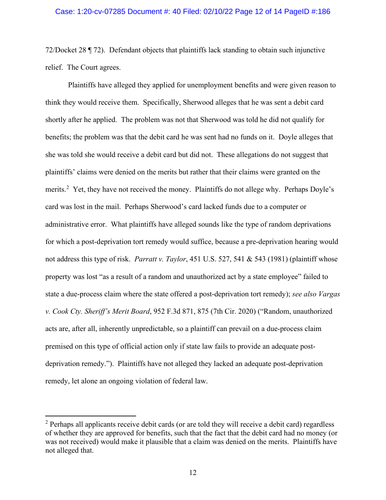#### Case: 1:20-cv-07285 Document #: 40 Filed: 02/10/22 Page 12 of 14 PageID #:186

72/Docket 28 ¶ 72). Defendant objects that plaintiffs lack standing to obtain such injunctive relief. The Court agrees.

Plaintiffs have alleged they applied for unemployment benefits and were given reason to think they would receive them. Specifically, Sherwood alleges that he was sent a debit card shortly after he applied. The problem was not that Sherwood was told he did not qualify for benefits; the problem was that the debit card he was sent had no funds on it. Doyle alleges that she was told she would receive a debit card but did not. These allegations do not suggest that plaintiffs' claims were denied on the merits but rather that their claims were granted on the merits.<sup>[2](#page-11-0)</sup> Yet, they have not received the money. Plaintiffs do not allege why. Perhaps Doyle's card was lost in the mail. Perhaps Sherwood's card lacked funds due to a computer or administrative error. What plaintiffs have alleged sounds like the type of random deprivations for which a post-deprivation tort remedy would suffice, because a pre-deprivation hearing would not address this type of risk. *Parratt v. Taylor*, 451 U.S. 527, 541 & 543 (1981) (plaintiff whose property was lost "as a result of a random and unauthorized act by a state employee" failed to state a due-process claim where the state offered a post-deprivation tort remedy); *see also Vargas v. Cook Cty. Sheriff's Merit Board*, 952 F.3d 871, 875 (7th Cir. 2020) ("Random, unauthorized acts are, after all, inherently unpredictable, so a plaintiff can prevail on a due-process claim premised on this type of official action only if state law fails to provide an adequate postdeprivation remedy."). Plaintiffs have not alleged they lacked an adequate post-deprivation remedy, let alone an ongoing violation of federal law.

<span id="page-11-0"></span> $2$  Perhaps all applicants receive debit cards (or are told they will receive a debit card) regardless of whether they are approved for benefits, such that the fact that the debit card had no money (or was not received) would make it plausible that a claim was denied on the merits. Plaintiffs have not alleged that.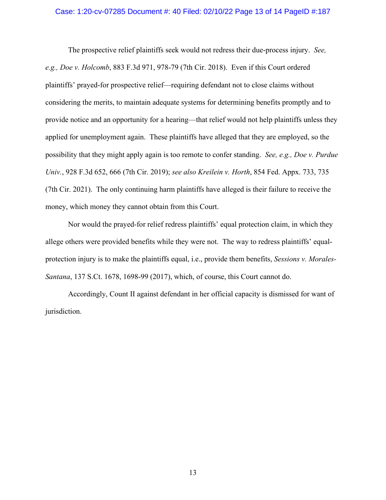#### Case: 1:20-cv-07285 Document #: 40 Filed: 02/10/22 Page 13 of 14 PageID #:187

The prospective relief plaintiffs seek would not redress their due-process injury. *See, e.g., Doe v. Holcomb*, 883 F.3d 971, 978-79 (7th Cir. 2018). Even if this Court ordered plaintiffs' prayed-for prospective relief—requiring defendant not to close claims without considering the merits, to maintain adequate systems for determining benefits promptly and to provide notice and an opportunity for a hearing—that relief would not help plaintiffs unless they applied for unemployment again. These plaintiffs have alleged that they are employed, so the possibility that they might apply again is too remote to confer standing. *See, e.g., Doe v. Purdue Univ.*, 928 F.3d 652, 666 (7th Cir. 2019); *see also Kreilein v. Horth*, 854 Fed. Appx. 733, 735 (7th Cir. 2021).The only continuing harm plaintiffs have alleged is their failure to receive the money, which money they cannot obtain from this Court.

Nor would the prayed-for relief redress plaintiffs' equal protection claim, in which they allege others were provided benefits while they were not. The way to redress plaintiffs' equalprotection injury is to make the plaintiffs equal, i.e., provide them benefits, *Sessions v. Morales-Santana*, 137 S.Ct. 1678, 1698-99 (2017), which, of course, this Court cannot do.

Accordingly, Count II against defendant in her official capacity is dismissed for want of jurisdiction.